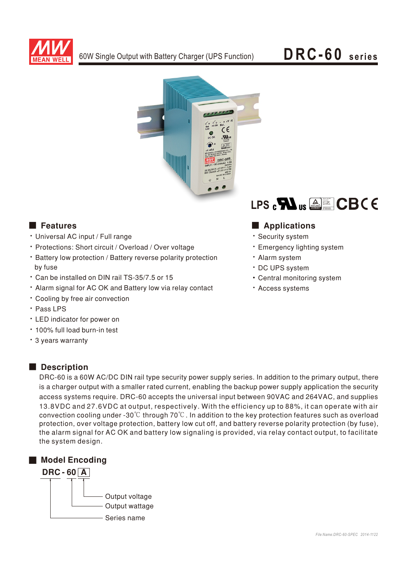



- Universal AC input / Full range
- Protections: Short circuit / Overload / Over voltage
- Battery low protection / Battery reverse polarity protection by fuse
- \* Can be installed on DIN rail TS-35/7.5 or 15
- Alarm signal for AC OK and Battery low via relay contact
- Cooling by free air convection
- · Pass LPS
- LED indicator for power on
- 100% full load burn-in test
- 3 years warranty



# ■ Features ■ Preactions

- Security system
- **· Emergency lighting system**
- · Alarm system
- DC UPS system
- Central monitoring system
- **· Access systems**

## Description

DRC-60 is a 60W AC/DC DIN rail type security power supply series. In addition to the primary output, there is a charger output with a smaller rated current, enabling the backup power supply application the security access systems require. DRC-60 accepts the universal input between 90VAC and 264VAC, and supplies 13.8VDC and 27.6VDC at output, respectively. With the efficiency up to 88%, it can operate with air convection cooling under -30 $\degree$ C through 70 $\degree$ C. In addition to the key protection features such as overload protection, over voltage protection, battery low cut off, and battery reverse polarity protection (by fuse). the alarm signal for AC OK and battery low signaling is provided, via relay contact output, to facilitate the system design.

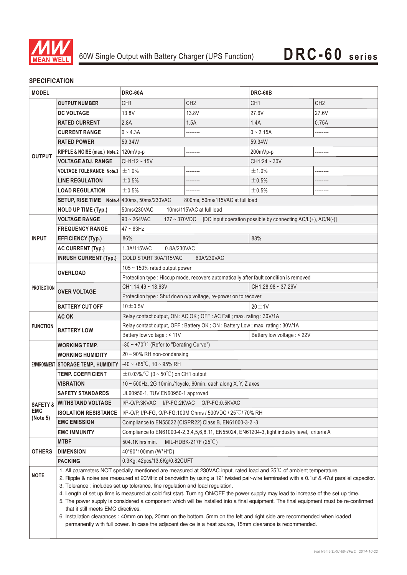

# **SPECIFICATION**

| <b>MODEL</b>                                  |                                                                                                                                                                                                                                                                                                                                                                                                                                                                                                                                                                                                                                                                                                                                                                                                                                                                                                                  | DRC-60A                                                                                            |                 | <b>DRC-60B</b>  |                 |
|-----------------------------------------------|------------------------------------------------------------------------------------------------------------------------------------------------------------------------------------------------------------------------------------------------------------------------------------------------------------------------------------------------------------------------------------------------------------------------------------------------------------------------------------------------------------------------------------------------------------------------------------------------------------------------------------------------------------------------------------------------------------------------------------------------------------------------------------------------------------------------------------------------------------------------------------------------------------------|----------------------------------------------------------------------------------------------------|-----------------|-----------------|-----------------|
|                                               | <b>OUTPUT NUMBER</b>                                                                                                                                                                                                                                                                                                                                                                                                                                                                                                                                                                                                                                                                                                                                                                                                                                                                                             | CH <sub>1</sub>                                                                                    | CH <sub>2</sub> | CH <sub>1</sub> | CH <sub>2</sub> |
| <b>OUTPUT</b>                                 | <b>DC VOLTAGE</b>                                                                                                                                                                                                                                                                                                                                                                                                                                                                                                                                                                                                                                                                                                                                                                                                                                                                                                | 13.8V                                                                                              | 13.8V           | 27.6V           | 27.6V           |
|                                               | <b>RATED CURRENT</b>                                                                                                                                                                                                                                                                                                                                                                                                                                                                                                                                                                                                                                                                                                                                                                                                                                                                                             | 2.8A                                                                                               | 1.5A            | 1.4A            | 0.75A           |
|                                               | <b>CURRENT RANGE</b>                                                                                                                                                                                                                                                                                                                                                                                                                                                                                                                                                                                                                                                                                                                                                                                                                                                                                             | $0 - 4.3A$                                                                                         |                 | $0 - 2.15A$     |                 |
|                                               | <b>RATED POWER</b>                                                                                                                                                                                                                                                                                                                                                                                                                                                                                                                                                                                                                                                                                                                                                                                                                                                                                               | 59.34W                                                                                             |                 | 59.34W          |                 |
|                                               | RIPPLE & NOISE (max.) Note.2   120mVp-p                                                                                                                                                                                                                                                                                                                                                                                                                                                                                                                                                                                                                                                                                                                                                                                                                                                                          |                                                                                                    |                 | 200mVp-p        |                 |
|                                               | <b>VOLTAGE ADJ. RANGE</b>                                                                                                                                                                                                                                                                                                                                                                                                                                                                                                                                                                                                                                                                                                                                                                                                                                                                                        | $CH1:12 - 15V$                                                                                     |                 | $CH1:24 - 30V$  |                 |
|                                               | <b>VOLTAGE TOLERANCE Note.3</b>                                                                                                                                                                                                                                                                                                                                                                                                                                                                                                                                                                                                                                                                                                                                                                                                                                                                                  | ±1.0%                                                                                              |                 | ±1.0%           | .               |
|                                               | <b>LINE REGULATION</b>                                                                                                                                                                                                                                                                                                                                                                                                                                                                                                                                                                                                                                                                                                                                                                                                                                                                                           | ±0.5%                                                                                              | --------        | ±0.5%           |                 |
|                                               | <b>LOAD REGULATION</b>                                                                                                                                                                                                                                                                                                                                                                                                                                                                                                                                                                                                                                                                                                                                                                                                                                                                                           | ±0.5%                                                                                              |                 | ±0.5%           |                 |
|                                               | SETUP, RISE TIME Note.4 400ms, 50ms/230VAC                                                                                                                                                                                                                                                                                                                                                                                                                                                                                                                                                                                                                                                                                                                                                                                                                                                                       | 800ms, 50ms/115VAC at full load                                                                    |                 |                 |                 |
|                                               | <b>HOLD UP TIME (Typ.)</b>                                                                                                                                                                                                                                                                                                                                                                                                                                                                                                                                                                                                                                                                                                                                                                                                                                                                                       | 50ms/230VAC<br>10ms/115VAC at full load                                                            |                 |                 |                 |
|                                               | <b>VOLTAGE RANGE</b>                                                                                                                                                                                                                                                                                                                                                                                                                                                                                                                                                                                                                                                                                                                                                                                                                                                                                             | 127 ~ 370VDC [DC input operation possible by connecting AC/L(+), AC/N(-)]<br>$90 - 264$ VAC        |                 |                 |                 |
| <b>INPUT</b>                                  | <b>FREQUENCY RANGE</b>                                                                                                                                                                                                                                                                                                                                                                                                                                                                                                                                                                                                                                                                                                                                                                                                                                                                                           | $47 - 63$ Hz                                                                                       |                 |                 |                 |
|                                               | <b>EFFICIENCY (Typ.)</b>                                                                                                                                                                                                                                                                                                                                                                                                                                                                                                                                                                                                                                                                                                                                                                                                                                                                                         | 88%<br>86%                                                                                         |                 |                 |                 |
|                                               | <b>AC CURRENT (Typ.)</b>                                                                                                                                                                                                                                                                                                                                                                                                                                                                                                                                                                                                                                                                                                                                                                                                                                                                                         | 1.3A/115VAC<br>0.8A/230VAC                                                                         |                 |                 |                 |
|                                               | <b>INRUSH CURRENT (Typ.)</b>                                                                                                                                                                                                                                                                                                                                                                                                                                                                                                                                                                                                                                                                                                                                                                                                                                                                                     | COLD START 30A/115VAC<br>60A/230VAC                                                                |                 |                 |                 |
| <b>PROTECTION</b>                             | <b>OVERLOAD</b>                                                                                                                                                                                                                                                                                                                                                                                                                                                                                                                                                                                                                                                                                                                                                                                                                                                                                                  | 105 ~ 150% rated output power                                                                      |                 |                 |                 |
|                                               |                                                                                                                                                                                                                                                                                                                                                                                                                                                                                                                                                                                                                                                                                                                                                                                                                                                                                                                  | Protection type : Hiccup mode, recovers automatically after fault condition is removed             |                 |                 |                 |
|                                               | <b>OVER VOLTAGE</b>                                                                                                                                                                                                                                                                                                                                                                                                                                                                                                                                                                                                                                                                                                                                                                                                                                                                                              | CH1:14.49~18.63V<br>CH1:28.98~37.26V                                                               |                 |                 |                 |
|                                               |                                                                                                                                                                                                                                                                                                                                                                                                                                                                                                                                                                                                                                                                                                                                                                                                                                                                                                                  | Protection type : Shut down o/p voltage, re-power on to recover                                    |                 |                 |                 |
|                                               | <b>BATTERY CUT OFF</b>                                                                                                                                                                                                                                                                                                                                                                                                                                                                                                                                                                                                                                                                                                                                                                                                                                                                                           | $10\pm0.5V$<br>$20 \pm 1V$                                                                         |                 |                 |                 |
| <b>FUNCTION</b>                               | AC OK                                                                                                                                                                                                                                                                                                                                                                                                                                                                                                                                                                                                                                                                                                                                                                                                                                                                                                            | Relay contact output, ON : AC OK; OFF : AC Fail; max. rating : 30V/1A                              |                 |                 |                 |
|                                               | <b>BATTERY LOW</b>                                                                                                                                                                                                                                                                                                                                                                                                                                                                                                                                                                                                                                                                                                                                                                                                                                                                                               | Relay contact output, OFF: Battery OK; ON: Battery Low; max. rating: 30V/1A                        |                 |                 |                 |
|                                               |                                                                                                                                                                                                                                                                                                                                                                                                                                                                                                                                                                                                                                                                                                                                                                                                                                                                                                                  | Battery low voltage : < 11V<br>Battery low voltage : < 22V                                         |                 |                 |                 |
|                                               | WORKING TEMP.                                                                                                                                                                                                                                                                                                                                                                                                                                                                                                                                                                                                                                                                                                                                                                                                                                                                                                    | -30 ~ +70 $^{\circ}$ C (Refer to "Derating Curve")                                                 |                 |                 |                 |
|                                               | <b>WORKING HUMIDITY</b>                                                                                                                                                                                                                                                                                                                                                                                                                                                                                                                                                                                                                                                                                                                                                                                                                                                                                          | 20~90% RH non-condensing                                                                           |                 |                 |                 |
|                                               | ENVIRONMENT STORAGE TEMP., HUMIDITY                                                                                                                                                                                                                                                                                                                                                                                                                                                                                                                                                                                                                                                                                                                                                                                                                                                                              | $-40 \sim +85^{\circ}$ C, 10 ~ 95% RH                                                              |                 |                 |                 |
|                                               | <b>TEMP. COEFFICIENT</b>                                                                                                                                                                                                                                                                                                                                                                                                                                                                                                                                                                                                                                                                                                                                                                                                                                                                                         | $\pm$ 0.03%/°C (0 ~ 50°C) on CH1 output                                                            |                 |                 |                 |
|                                               | <b>VIBRATION</b>                                                                                                                                                                                                                                                                                                                                                                                                                                                                                                                                                                                                                                                                                                                                                                                                                                                                                                 | 10 ~ 500Hz, 2G 10min./1cycle, 60min. each along X, Y, Z axes                                       |                 |                 |                 |
|                                               | <b>SAFETY STANDARDS</b>                                                                                                                                                                                                                                                                                                                                                                                                                                                                                                                                                                                                                                                                                                                                                                                                                                                                                          | UL60950-1, TUV EN60950-1 approved                                                                  |                 |                 |                 |
| <b>SAFETY &amp;</b><br><b>EMC</b><br>(Note 5) | <b>WITHSTAND VOLTAGE</b>                                                                                                                                                                                                                                                                                                                                                                                                                                                                                                                                                                                                                                                                                                                                                                                                                                                                                         | I/P-O/P:3KVAC<br>I/P-FG:2KVAC<br>O/P-FG:0.5KVAC                                                    |                 |                 |                 |
|                                               | <b>ISOLATION RESISTANCE</b>                                                                                                                                                                                                                                                                                                                                                                                                                                                                                                                                                                                                                                                                                                                                                                                                                                                                                      | I/P-O/P, I/P-FG, O/P-FG:100M Ohms / 500VDC / 25°C/70% RH                                           |                 |                 |                 |
|                                               | <b>EMC EMISSION</b>                                                                                                                                                                                                                                                                                                                                                                                                                                                                                                                                                                                                                                                                                                                                                                                                                                                                                              | Compliance to EN55022 (CISPR22) Class B, EN61000-3-2,-3                                            |                 |                 |                 |
|                                               | <b>EMC IMMUNITY</b>                                                                                                                                                                                                                                                                                                                                                                                                                                                                                                                                                                                                                                                                                                                                                                                                                                                                                              | Compliance to EN61000-4-2, 3, 4, 5, 6, 8, 11, EN55024, EN61204-3, light industry level, criteria A |                 |                 |                 |
| <b>OTHERS</b>                                 | MTBF                                                                                                                                                                                                                                                                                                                                                                                                                                                                                                                                                                                                                                                                                                                                                                                                                                                                                                             | MIL-HDBK-217F $(25^{\circ}C)$<br>504.1K hrs min.                                                   |                 |                 |                 |
|                                               | <b>DIMENSION</b>                                                                                                                                                                                                                                                                                                                                                                                                                                                                                                                                                                                                                                                                                                                                                                                                                                                                                                 | 40*90*100mm (W*H*D)                                                                                |                 |                 |                 |
|                                               | <b>PACKING</b>                                                                                                                                                                                                                                                                                                                                                                                                                                                                                                                                                                                                                                                                                                                                                                                                                                                                                                   | 0.3Kg; 42pcs/13.6Kg/0.82CUFT                                                                       |                 |                 |                 |
| <b>NOTE</b>                                   | 1. All parameters NOT specially mentioned are measured at 230VAC input, rated load and 25°C of ambient temperature.<br>2. Ripple & noise are measured at 20MHz of bandwidth by using a 12" twisted pair-wire terminated with a 0.1uf & 47uf parallel capacitor.<br>3. Tolerance : includes set up tolerance, line regulation and load regulation.<br>4. Length of set up time is measured at cold first start. Turning ON/OFF the power supply may lead to increase of the set up time.<br>5. The power supply is considered a component which will be installed into a final equipment. The final equipment must be re-confirmed<br>that it still meets EMC directives.<br>6. Installation clearances: 40mm on top, 20mm on the bottom, 5mm on the left and right side are recommended when loaded<br>permanently with full power. In case the adjacent device is a heat source, 15mm clearance is recommended. |                                                                                                    |                 |                 |                 |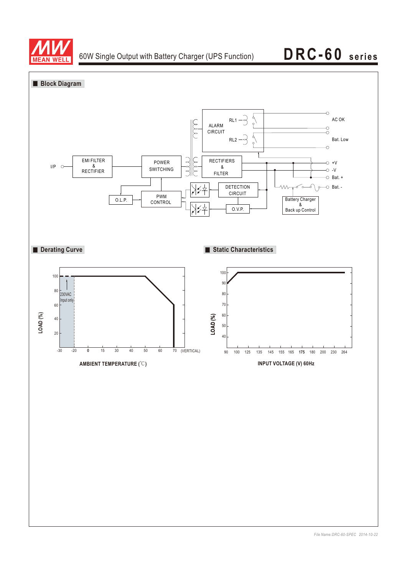

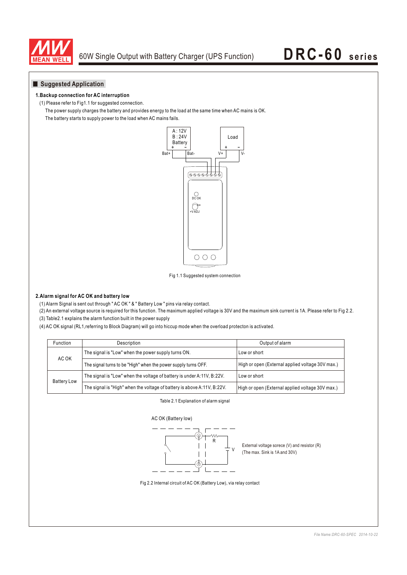

## **Suggested Application**

### **1.Backup connection for AC interruption**

(1) Please refer to Fig1.1 for suggested connection.

The power supply charges the battery and provides energy to the load at the same time when AC mains is OK.

The battery starts to supply power to the load when AC mains fails.



Fig 1.1 Suggested system connection

## **2.Alarm signal for AC OK and battery low**

(1) Alarm Signal is sent out through " AC OK " & " Battery Low " pins via relay contact.

(2) An external voltage source is required for this function. The maximum applied voltage is 30V and the maximum sink current is 1A. Please refer to Fig 2.2.

(3) Table2.1 explains the alarm function built in the power supply

(4) AC OK signal (RL1,referring to Block Diagram) will go into hiccup mode when the overload protecton is activated.

| Function           | <b>Description</b>                                                      | Output of alarm                                  |  |
|--------------------|-------------------------------------------------------------------------|--------------------------------------------------|--|
| AC OK              | The signal is "Low" when the power supply turns ON.                     | Low or short                                     |  |
|                    | The signal turns to be "High" when the power supply turns OFF.          | High or open (External applied voltage 30V max.) |  |
| <b>Battery Low</b> | The signal is "Low" when the voltage of battery is under A:11V, B:22V.  | Low or short                                     |  |
|                    | The signal is "High" when the voltage of battery is above A:11V, B:22V. | High or open (External applied voltage 30V max.) |  |

Table 2.1 Explanation of alarm signal



External voltage sorece (V) and resistor (R) (The max. Sink is 1A and 30V)